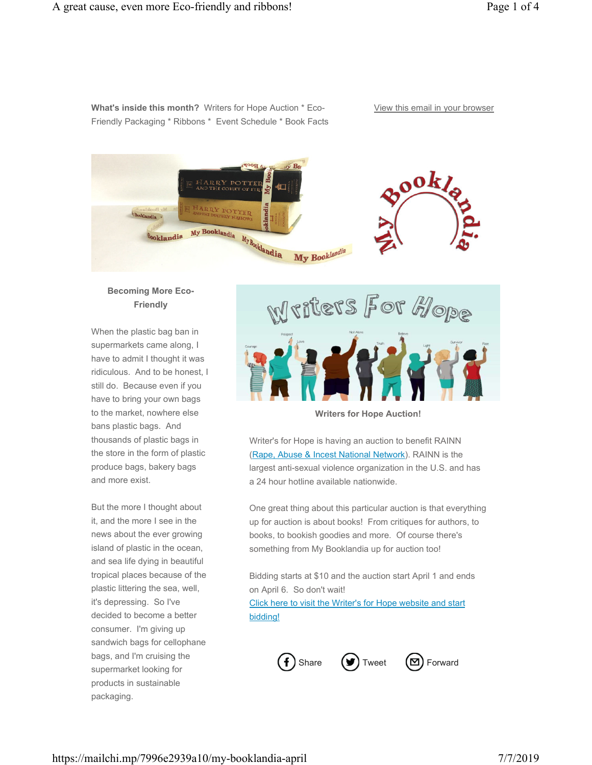**What's inside this month?** Writers for Hope Auction \* Eco-Friendly Packaging \* Ribbons \* Event Schedule \* Book Facts View this email in your browser



# **Becoming More Eco-Friendly**

When the plastic bag ban in supermarkets came along, I have to admit I thought it was ridiculous. And to be honest, I still do. Because even if you have to bring your own bags to the market, nowhere else bans plastic bags. And thousands of plastic bags in the store in the form of plastic produce bags, bakery bags and more exist.

But the more I thought about it, and the more I see in the news about the ever growing island of plastic in the ocean, and sea life dying in beautiful tropical places because of the plastic littering the sea, well, it's depressing. So I've decided to become a better consumer. I'm giving up sandwich bags for cellophane bags, and I'm cruising the supermarket looking for products in sustainable packaging.



**Writers for Hope Auction!**

Writer's for Hope is having an auction to benefit RAINN (Rape, Abuse & Incest National Network). RAINN is the largest anti-sexual violence organization in the U.S. and has a 24 hour hotline available nationwide.

One great thing about this particular auction is that everything up for auction is about books! From critiques for authors, to books, to bookish goodies and more. Of course there's something from My Booklandia up for auction too!

Bidding starts at \$10 and the auction start April 1 and ends on April 6. So don't wait!

Click here to visit the Writer's for Hope website and start bidding!

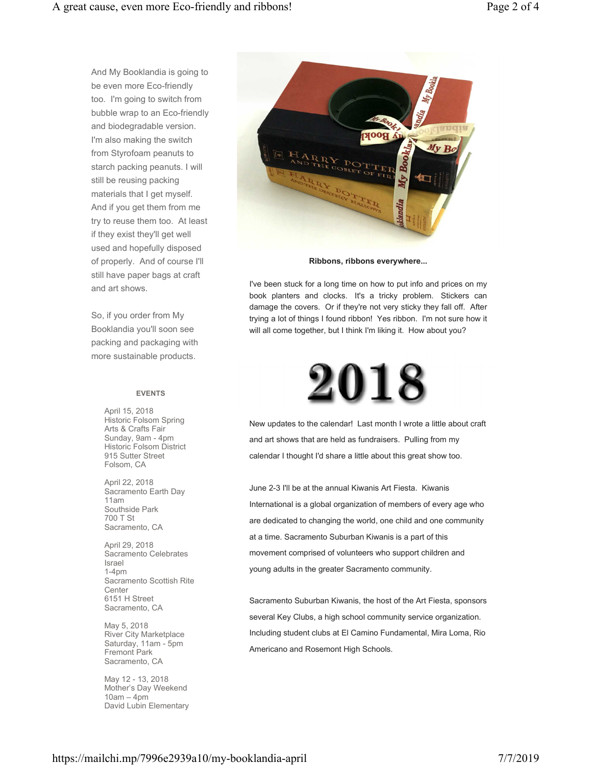And My Booklandia is going to be even more Eco-friendly too. I'm going to switch from bubble wrap to an Eco-friendly and biodegradable version. I'm also making the switch from Styrofoam peanuts to starch packing peanuts. I will still be reusing packing materials that I get myself. And if you get them from me try to reuse them too. At least if they exist they'll get well used and hopefully disposed of properly. And of course I'll still have paper bags at craft and art shows.

So, if you order from My Booklandia you'll soon see packing and packaging with more sustainable products.

#### **EVENTS**

April 15, 2018 Historic Folsom Spring Arts & Crafts Fair Sunday, 9am - 4pm Historic Folsom District 915 Sutter Street Folsom, CA

April 22, 2018 Sacramento Earth Day 11am Southside Park 700 T St Sacramento, CA

April 29, 2018 Sacramento Celebrates Israel 1-4pm Sacramento Scottish Rite **Center** 6151 H Street Sacramento, CA

May 5, 2018 River City Marketplace Saturday, 11am - 5pm Fremont Park Sacramento, CA

May 12 - 13, 2018 Mother's Day Weekend 10am – 4pm David Lubin Elementary



**Ribbons, ribbons everywhere...**

I've been stuck for a long time on how to put info and prices on my book planters and clocks. It's a tricky problem. Stickers can damage the covers. Or if they're not very sticky they fall off. After trying a lot of things I found ribbon! Yes ribbon. I'm not sure how it will all come together, but I think I'm liking it. How about you?



New updates to the calendar! Last month I wrote a little about craft and art shows that are held as fundraisers. Pulling from my calendar I thought I'd share a little about this great show too.

June 2-3 I'll be at the annual Kiwanis Art Fiesta. Kiwanis International is a global organization of members of every age who are dedicated to changing the world, one child and one community at a time. Sacramento Suburban Kiwanis is a part of this movement comprised of volunteers who support children and young adults in the greater Sacramento community.

Sacramento Suburban Kiwanis, the host of the Art Fiesta, sponsors several Key Clubs, a high school community service organization. Including student clubs at El Camino Fundamental, Mira Loma, Rio Americano and Rosemont High Schools.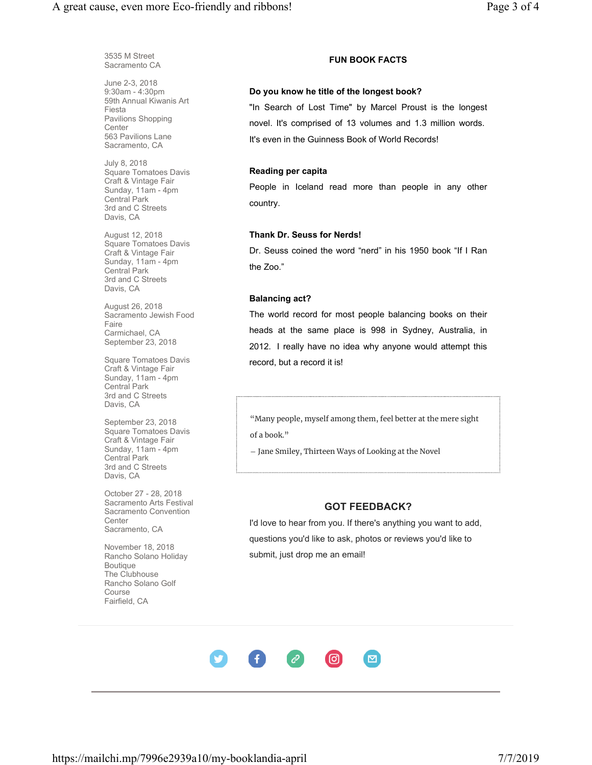3535 M Street Sacramento CA

June 2-3, 2018 9:30am - 4:30pm 59th Annual Kiwanis Art Fiesta Pavilions Shopping **Center** 563 Pavilions Lane Sacramento, CA

July 8, 2018 Square Tomatoes Davis Craft & Vintage Fair Sunday, 11am - 4pm Central Park 3rd and C Streets Davis, CA

August 12, 2018 Square Tomatoes Davis Craft & Vintage Fair Sunday, 11am - 4pm Central Park 3rd and C Streets Davis, CA

August 26, 2018 Sacramento Jewish Food Faire Carmichael, CA September 23, 2018

Square Tomatoes Davis Craft & Vintage Fair Sunday, 11am - 4pm Central Park 3rd and C Streets Davis, CA

September 23, 2018 Square Tomatoes Davis Craft & Vintage Fair Sunday, 11am - 4pm Central Park 3rd and C Streets Davis, CA

October 27 - 28, 2018 Sacramento Arts Festival Sacramento Convention **Center** Sacramento, CA

November 18, 2018 Rancho Solano Holiday Boutique The Clubhouse Rancho Solano Golf Course Fairfield, CA

## **FUN BOOK FACTS**

#### **Do you know he title of the longest book?**

"In Search of Lost Time" by Marcel Proust is the longest novel. It's comprised of 13 volumes and 1.3 million words. It's even in the Guinness Book of World Records!

## **Reading per capita**

People in Iceland read more than people in any other country.

#### **Thank Dr. Seuss for Nerds!**

Dr. Seuss coined the word "nerd" in his 1950 book "If I Ran the Zoo."

### **Balancing act?**

The world record for most people balancing books on their heads at the same place is 998 in Sydney, Australia, in 2012. I really have no idea why anyone would attempt this record, but a record it is!

"Many people, myself among them, feel better at the mere sight of a book."

― Jane Smiley, Thirteen Ways of Looking at the Novel

## **GOT FEEDBACK?**

I'd love to hear from you. If there's anything you want to add, questions you'd like to ask, photos or reviews you'd like to submit, just drop me an email!